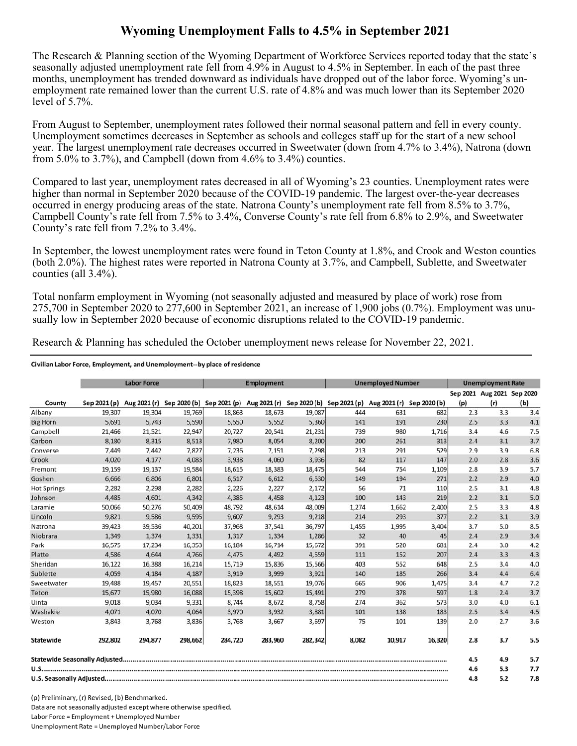## **Wyoming Unemployment Falls to 4.5% in September 2021**

The Research & Planning section of the Wyoming Department of Workforce Services reported today that the state's seasonally adjusted unemployment rate fell from 4.9% in August to 4.5% in September. In each of the past three months, unemployment has trended downward as individuals have dropped out of the labor force. Wyoming's unemployment rate remained lower than the current U.S. rate of 4.8% and was much lower than its September 2020 level of 5.7%.

From August to September, unemployment rates followed their normal seasonal pattern and fell in every county. Unemployment sometimes decreases in September as schools and colleges staff up for the start of a new school year. The largest unemployment rate decreases occurred in Sweetwater (down from 4.7% to 3.4%), Natrona (down from 5.0% to 3.7%), and Campbell (down from 4.6% to 3.4%) counties.

Compared to last year, unemployment rates decreased in all of Wyoming's 23 counties. Unemployment rates were higher than normal in September 2020 because of the COVID-19 pandemic. The largest over-the-year decreases occurred in energy producing areas of the state. Natrona County's unemployment rate fell from 8.5% to 3.7%, Campbell County's rate fell from 7.5% to 3.4%, Converse County's rate fell from 6.8% to 2.9%, and Sweetwater County's rate fell from 7.2% to 3.4%.

In September, the lowest unemployment rates were found in Teton County at 1.8%, and Crook and Weston counties (both 2.0%). The highest rates were reported in Natrona County at 3.7%, and Campbell, Sublette, and Sweetwater counties (all 3.4%).

Total nonfarm employment in Wyoming (not seasonally adjusted and measured by place of work) rose from 275,700 in September 2020 to 277,600 in September 2021, an increase of 1,900 jobs (0.7%). Employment was unusually low in September 2020 because of economic disruptions related to the COVID-19 pandemic.

Research & Planning has scheduled the October unemployment news release for November 22, 2021.

## Civilian Labor Force, Employment, and Unemployment--by place of residence

|                    | <b>Labor Force</b> |         |         | <b>Employment</b>                                                                          |         |         | <b>Unemployed Number</b> |        |              | <b>Unemployment Rate</b> |                                   |     |
|--------------------|--------------------|---------|---------|--------------------------------------------------------------------------------------------|---------|---------|--------------------------|--------|--------------|--------------------------|-----------------------------------|-----|
| County             | Sep 2021 (p)       |         |         | Aug 2021 (r) Sep 2020 (b) Sep 2021 (p) Aug 2021 (r) Sep 2020 (b) Sep 2021 (p) Aug 2021 (r) |         |         |                          |        | Sep 2020 (b) | (p)                      | Sep 2021 Aug 2021 Sep 2020<br>(r) | (b) |
| Albany             | 19,307             | 19,304  | 19,769  | 18,863                                                                                     | 18,673  | 19,087  | 444                      | 631    | 682          | 2.3                      | 3.3                               | 3.4 |
| <b>Big Horn</b>    | 5,691              | 5,743   | 5,590   | 5,550                                                                                      | 5,552   | 5,360   | 141                      | 191    | 230          | 2.5                      | 3.3                               | 4.1 |
| Campbell           | 21,466             | 21,521  | 22,947  | 20,727                                                                                     | 20,541  | 21,231  | 739                      | 980    | 1,716        | 3.4                      | 4.6                               | 7.5 |
| Carbon             | 8,180              | 8,315   | 8,513   | 7,980                                                                                      | 8,054   | 8,200   | 200                      | 261    | 313          | 2.4                      | 3.1                               | 3.7 |
| Converse           | 7,449              | 7,442   | 7,827   | 7,236                                                                                      | 7,151   | 7,298   | 213                      | 291    | 529          | 2.9                      | 3.9                               | 6.8 |
| Crook              | 4,020              | 4,177   | 4,083   | 3,938                                                                                      | 4,060   | 3,936   | 82                       | 117    | 147          | 2.0                      | 2.8                               | 3.6 |
| Fremont            | 19,159             | 19,137  | 19,584  | 18,615                                                                                     | 18,383  | 18,475  | 544                      | 754    | 1,109        | 2.8                      | 3.9                               | 5.7 |
| Goshen             | 6,666              | 6,806   | 6,801   | 6.517                                                                                      | 6,612   | 6,530   | 149                      | 194    | 271          | 2.2                      | 2.9                               | 4.0 |
| <b>Hot Springs</b> | 2,282              | 2,298   | 2,282   | 2,226                                                                                      | 2,227   | 2,172   | 56                       | 71     | 110          | 2.5                      | 3.1                               | 4.8 |
| Johnson            | 4,485              | 4,601   | 4,342   | 4,385                                                                                      | 4,458   | 4,123   | 100                      | 143    | 219          | 2.2                      | 3.1                               | 5.0 |
| Laramie            | 50,066             | 50,276  | 50,409  | 48,792                                                                                     | 48,614  | 48,009  | 1,274                    | 1,662  | 2,400        | 2.5                      | 3.3                               | 4.8 |
| Lincoln            | 9,821              | 9,586   | 9,595   | 9,607                                                                                      | 9,293   | 9,218   | 214                      | 293    | 377          | 2.2                      | 3.1                               | 3.9 |
| Natrona            | 39,423             | 39,536  | 40,201  | 37,968                                                                                     | 37,541  | 36,797  | 1,455                    | 1,995  | 3,404        | 3.7                      | 5.0                               | 8.5 |
| Niobrara           | 1,349              | 1,374   | 1,331   | 1.317                                                                                      | 1,334   | 1,286   | 32                       | 40     | 45           | 2.4                      | 2.9                               | 3.4 |
| Park               | 16.575             | 17,234  | 16,353  | 16,184                                                                                     | 16,714  | 15,672  | 391                      | 520    | 681          | 2.4                      | 3.0                               | 4.2 |
| Platte             | 4,586              | 4,644   | 4,766   | 4,475                                                                                      | 4,492   | 4,559   | 111                      | 152    | 207          | 2.4                      | 3.3                               | 4.3 |
| Sheridan           | 16,122             | 16,388  | 16,214  | 15,719                                                                                     | 15,836  | 15,566  | 403                      | 552    | 648          | 2.5                      | 3.4                               | 4.0 |
| Sublette           | 4,059              | 4,184   | 4,187   | 3,919                                                                                      | 3,999   | 3,921   | 140                      | 185    | 266          | 3.4                      | 4.4                               | 6.4 |
| Sweetwater         | 19,488             | 19,457  | 20,551  | 18,823                                                                                     | 18,551  | 19,076  | 665                      | 906    | 1,475        | 3.4                      | 4.7                               | 7.2 |
| Teton              | 15,677             | 15,980  | 16,088  | 15,398                                                                                     | 15,602  | 15,491  | 279                      | 378    | 597          | 1.8                      | 2.4                               | 3.7 |
| Uinta              | 9,018              | 9,034   | 9,331   | 8,744                                                                                      | 8,672   | 8,758   | 274                      | 362    | 573          | 3.0                      | 4.0                               | 6.1 |
| Washakie           | 4.071              | 4,070   | 4,064   | 3,970                                                                                      | 3,932   | 3,881   | 101                      | 138    | 183          | 2.5                      | 3.4                               | 4.5 |
| Weston             | 3,843              | 3,768   | 3,836   | 3,768                                                                                      | 3,667   | 3,697   | 75                       | 101    | 139          | 2.0                      | 2.7                               | 3.6 |
| Statewide          | 292,802            | 294,877 | 298,662 | 284,720                                                                                    | 283,960 | 282,342 | 8,082                    | 10,917 | 16,320       | 2.8                      | 3.7                               | 5.5 |
|                    |                    |         |         |                                                                                            |         |         |                          |        |              | 4.5                      | 4.9                               | 5.7 |
|                    |                    |         |         |                                                                                            |         |         |                          |        |              | 4.6                      | 5.3                               | 7.7 |
|                    |                    |         |         |                                                                                            |         |         |                          |        |              | 4.8                      | 5.2                               | 7.8 |

(p) Preliminary. (r) Revised. (b) Benchmarked. Data are not seasonally adjusted except where otherwise specified. Labor Force = Employment + Unemployed Number Unemployment Rate = Unemployed Number/Labor Force